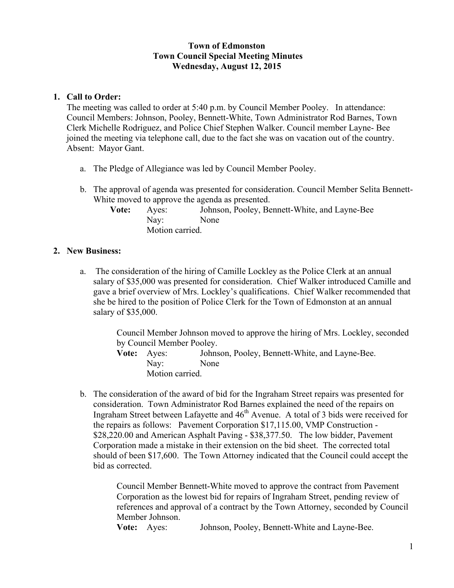## **Town of Edmonston Town Council Special Meeting Minutes Wednesday, August 12, 2015**

## **1. Call to Order:**

The meeting was called to order at 5:40 p.m. by Council Member Pooley. In attendance: Council Members: Johnson, Pooley, Bennett-White, Town Administrator Rod Barnes, Town Clerk Michelle Rodriguez, and Police Chief Stephen Walker. Council member Layne- Bee joined the meeting via telephone call, due to the fact she was on vacation out of the country. Absent: Mayor Gant.

- a. The Pledge of Allegiance was led by Council Member Pooley.
- b. The approval of agenda was presented for consideration. Council Member Selita Bennett-White moved to approve the agenda as presented.

| <b>Vote:</b> | Aves:           | Johnson, Pooley, Bennett-White, and Layne-Bee |
|--------------|-----------------|-----------------------------------------------|
|              | Nay:            | None                                          |
|              | Motion carried. |                                               |

## **2. New Business:**

a. The consideration of the hiring of Camille Lockley as the Police Clerk at an annual salary of \$35,000 was presented for consideration. Chief Walker introduced Camille and gave a brief overview of Mrs. Lockley's qualifications. Chief Walker recommended that she be hired to the position of Police Clerk for the Town of Edmonston at an annual salary of \$35,000.

> Council Member Johnson moved to approve the hiring of Mrs. Lockley, seconded by Council Member Pooley.

**Vote:** Ayes: Johnson, Pooley, Bennett-White, and Layne-Bee. Nay: None Motion carried.

b. The consideration of the award of bid for the Ingraham Street repairs was presented for consideration. Town Administrator Rod Barnes explained the need of the repairs on Ingraham Street between Lafayette and  $46<sup>th</sup>$  Avenue. A total of 3 bids were received for the repairs as follows: Pavement Corporation \$17,115.00, VMP Construction - \$28,220.00 and American Asphalt Paving - \$38,377.50. The low bidder, Pavement Corporation made a mistake in their extension on the bid sheet. The corrected total should of been \$17,600. The Town Attorney indicated that the Council could accept the bid as corrected.

> Council Member Bennett-White moved to approve the contract from Pavement Corporation as the lowest bid for repairs of Ingraham Street, pending review of references and approval of a contract by the Town Attorney, seconded by Council Member Johnson.

**Vote:** Ayes: Johnson, Pooley, Bennett-White and Layne-Bee.